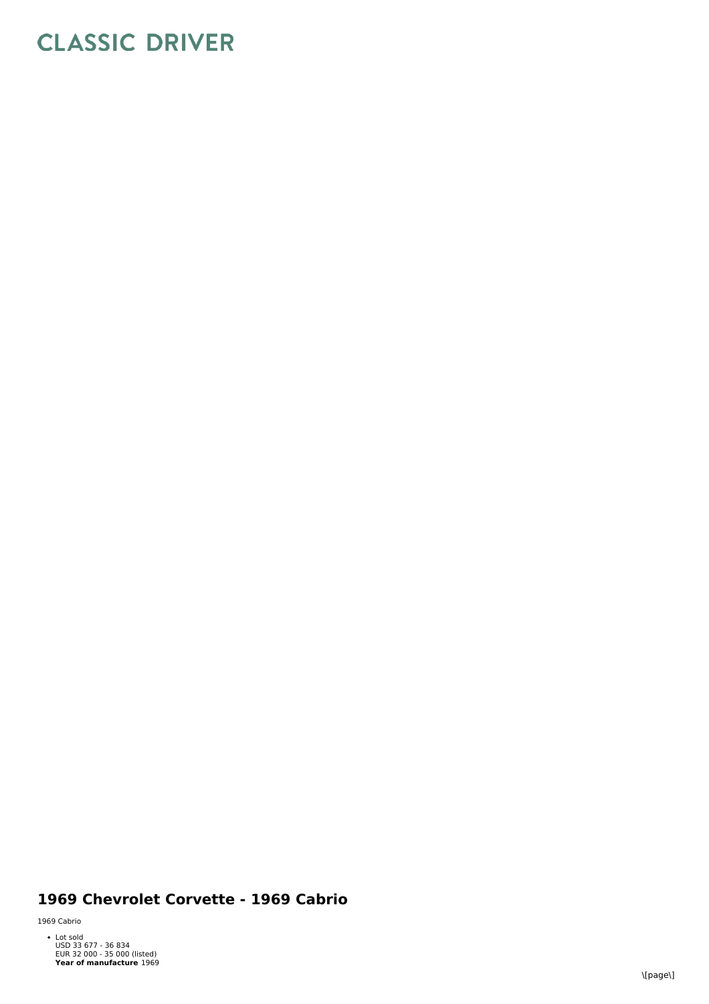## **CLASSIC DRIVER**

## 1969 Chevrolet Corvette - 1969 Cabrio

1 9 6 9 C a b rio

Year of manufacture 1969 Lot sold<br>USD 33 677 - 36 834<br>EUR 32 000 - 35 000 (listed)